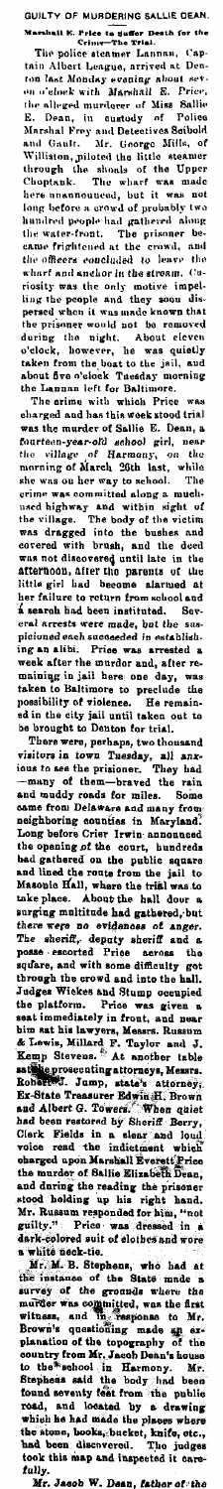GULTY OF MUBDERING SALUE DEAN.<br>
Marshall E. Price to suffer Death for the<br>
Crime-The Tital.<br>
The police steamer Lannan, Cap-<br>
tain Albert League, arrived at Den-<br>
ton last Monday evening about sev-<br>
en origins and the set

the officered at the statement of the statement of the officers concluded to leave the viar and anchor in the stream. Cusing the people and they movie impelling the propel and they soon dispersed whom thus made known that

take place. About the hall down a weak to surging multitude had gathered, but<br>there were no evidences of anger. The sheriff, depart of the signary sheriff and a square, posse escorted Prios across the square, and with som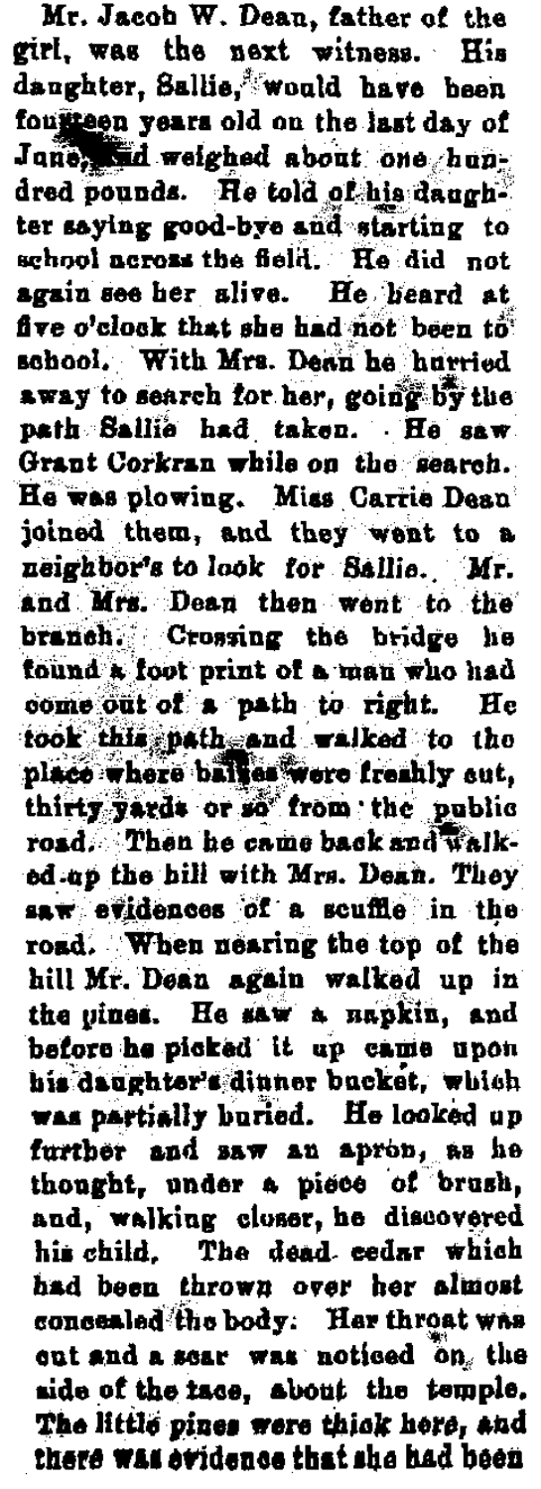Mr. Jacob W. Dean, father of the girl, was the next witness. His daughter, Sallie, would have been foutueen vears old on the last day of Jane. Ad weighed about one hundred nounds. He told of his danghter saying good-bye and starting to school across the field. He did not again see her alive. He heard at five o'clock that she had not been to school. With Mrs. Dean he hurried away to search for her, going by the path Sallie had taken. He saw Grant Corkran while on the search. He was plowing. Miss Carrie Dean joined them, and they went to a neighbor's to look for Sallie. Mr. and Mrs. Dean than want to the branch. Crossing the bridge he found a foot print of a man who had come out of a path to right. He took this path and valked to the place where balles were freshly out. thirty yards or so from the public road. Then he came back and walked ap the hill with Mrs. Dean. They saw evidences of a scuffle in the road. When nearing the top of the hill Mr. Dean again walked up in the uines. He saw a napkin, and before he picked it up came upon his daughter's dinner bucket, which was partially buried. He looked up further and saw an apron, as he thought, under a piece of brush, and walking closer, he discovered his child. The dead cedar which had been thrown over her almost concealed the body. Her throat was out and a scar was noticed on, the side of the tace. about the temple. The little pines were thick here, and there was evidence that she had been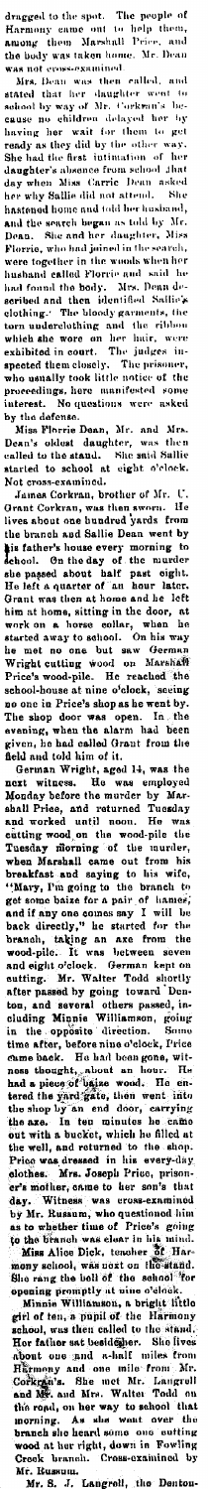dragged to the spot. The people of<br>Harmony came out to help them,<br>among them Marshall Price, and<br>the body was taken home. Mr. Dean

dragged to the spot. The people of Harmony cance out to help them,<br>Annony cance out to help them,<br>Annony them Marshall Pieie, and<br>the body was taken home. Mr. Decan<br>was not cross-examined.<br>Mated that ther dauged to them to

interest. To operation were asked by the defense and the bind of the state interest. No questions were asked by the defense one, Ir. and Mrs. Dean's older dense interest in the limit of the state of the state of the state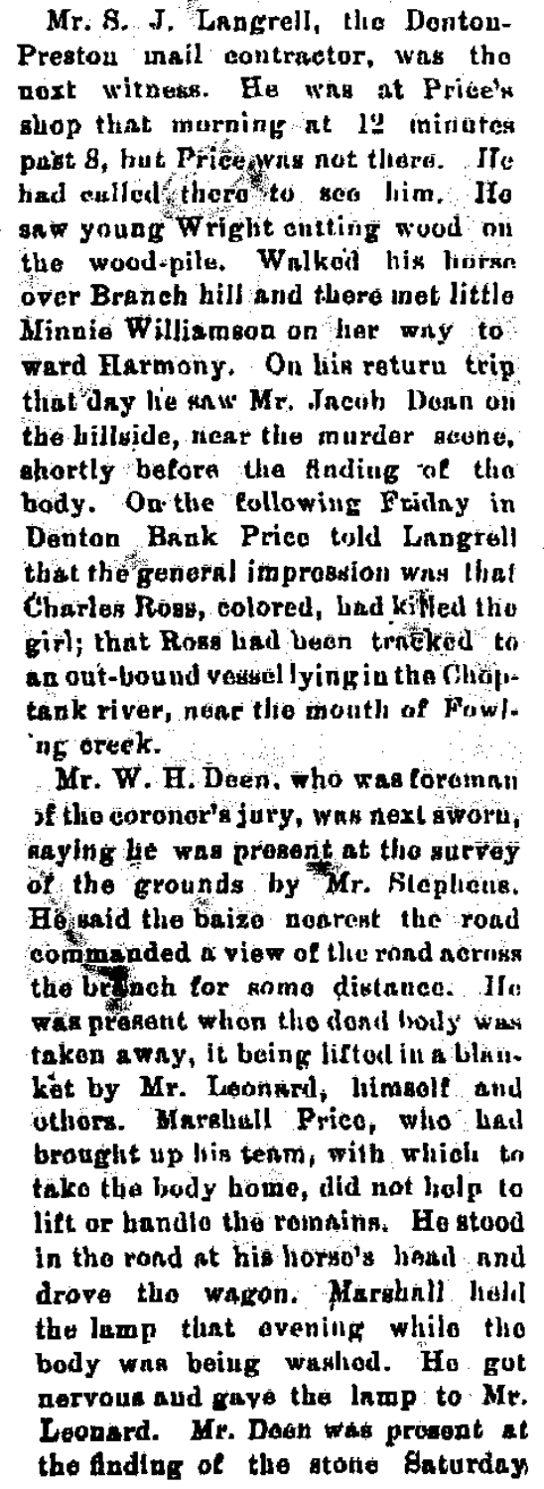Mr. S. J. Langrell, the Denton-Preston mail contractor, was the next witness. He was at Price's shop that morning at 12 minutes nast 8. hut Price was not there. He had culled there to see him. He saw young Wright entting wood on the wood-pile. Walked his horse over Branch hill and there met little Minnie Williamson on her way to ward Harmony. On his return trin that day he saw Mr. Jacob Dean on the hillside, near the murder scene, shortly before the finding of the body. On the following Friday in Denton Bank Price told Langrell that the general impression was that Charles Ross, colored, had killed the girl: that Ross had been tracked to an out-bound vessel lying in the Choptank river, near the mouth of Fowlng oreek.  $\langle \cdot, \cdot \rangle$ 

Mr. W. H. Deen, who was foroman of the coroner's jury, was next sworn, saying he was present at the survey of the grounds by Mr. Stephens. He said the baize nearest the road commanded a view of the road across the brinch for some distance. He was present when the dead body was taken away, it being lifted in a blanket by Mr. Leonard, himself and others. Marshall Price, who had brought up his team, with which to take the body home, did not help to lift or handle the remains. He stood in the road at his horse's head and drove the wagon. Marshall held the lamp that evening while the body was being washed. He got nervous and gays the lamp to Mr. Leonard. Mr. Doen was present at the finding of the stone Saturday,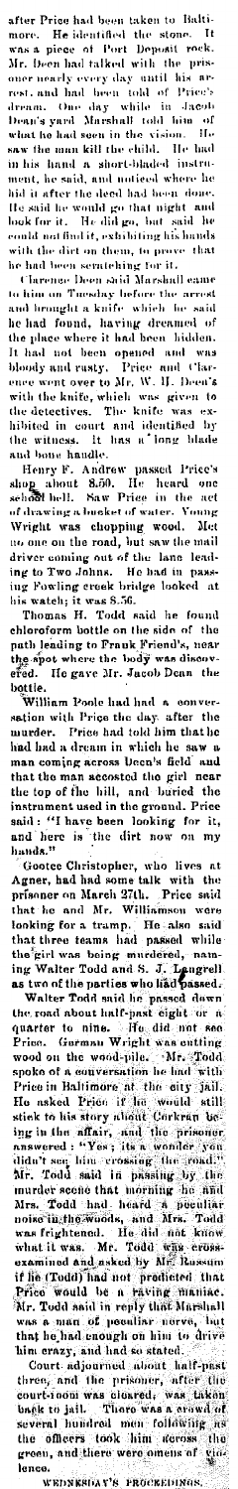after Price had been taken to Baltimore. He identified the stone. It was a piece of Port Deposit reek.<br>Mr. been had taked with the prison tends one nearly every day until his arrest, and had been told of Price's<br>rest, and seen in the vision. He<br>kill the child. He had<br>a short-bladed instruin his hand a short-bladed instru-<br>ment, he said, and noticed where he ment, he said, and unticed where he<br>hid it after the deed had been done.<br>He said he would go that uight and<br>look for it. He did go, but said he<br>could not find it, exhibiting his hands<br>with the dirt on them, to prove that<br>h

the phase where it had been mature.<br>It had not been opened and was<br>bloody and rusty. Price and Clar-<br>ence went over to Mr. W. H. Deen's<br>with the knife, which was given to<br>the detectives. The knife was exthe detectives. The knife was ex-<br>hibited in court and identified by<br>the witness. It has a long blade

in the set of the mande.<br>In this is a long black in court and identified by<br>the witness. It has a long black<br>and bou handle.<br>Henry F. Andrew passed Price's<br>shop about 8.50. He heard one<br>of behil. Saw Friee in the act<br>of th

efed. He gave Mr. Jacob Dean the bottle.<br>William Poole had had a conver-<br>with William Poole had had a conver-<br>sation with Price the day. after the<br>murder. Price had told him that he<br>had had a dream in which he saw a<br>man co hands."

hands."<br>
Coote Christopher, who lives at  $\Delta$ <br>
Agner, had had some talk with the<br>
prisoner on March 27th. Price said<br>
that he and Mr. Williamson were<br>
tooking for a tramp. He also said<br>
that three teams had passed while<br>
t Gootee Christopher, who lives at<br>Agner, had had some talk with the<br>prisoner on March 27th. Price said

lence.<br>WEDNESDAY'S PROCEEDINGS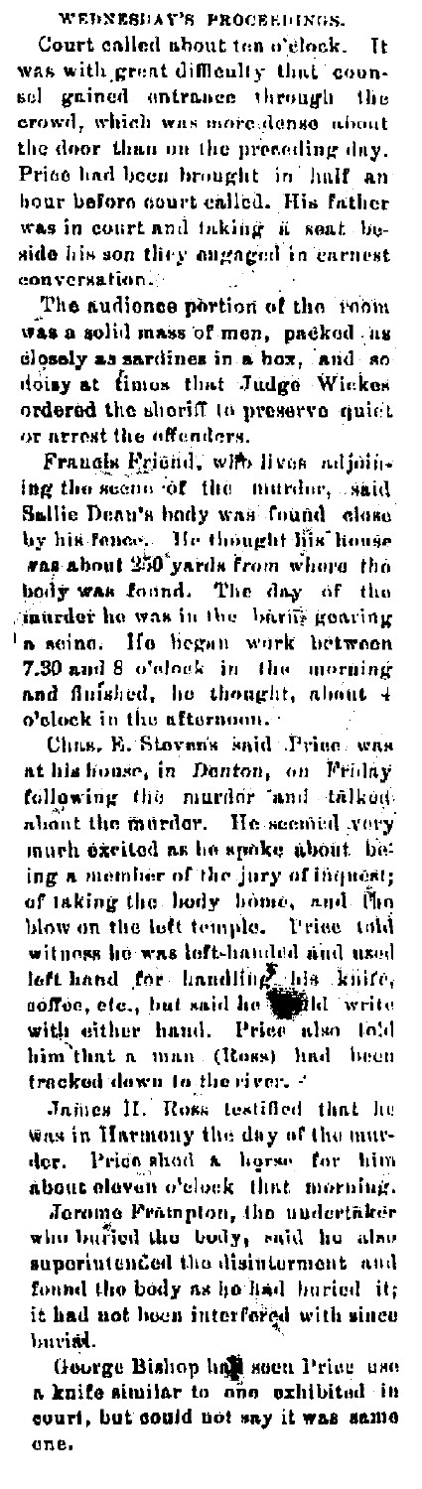WEDNESDAY'S PROCEEDINGS.

Court called about ten o'clock. It was with great difficulty that counsel gained entrance through the crowd, which was more dense about the door than on the preceding day. Prise had been brought in half an hour before court called. His father was in court and taking a seat beside his son they engaged in earnest conversation.

The audience pertion of the room was a solid mass of men, packed us closely as sardines in a hox. and so doisy at fimos that Judge Wickes ordered the sheriff to preserve quict or arrest the offenders.

Francis Friend, with lives adjoining the seene of the murder, said Sallie Dean's hody was found close by his fence. He thought lifs house was about 250 yards from whose the body was found. The day of the murder he was in the barits gearing 'a seine. He began work between 7.30 and 8 o'clock in the morning and finished, he thought, about 4 o'clock in the afternoon.

Chas. E. Stoven's said Price was at his house, in Donton, on Friday following the murder and talked about the murder. He seemed very ing a member of the jury of inquest; of taking the body home, and the blow on the left temple. Prise told witness he was left-handed and used<br>left hand for handling his knife, soffee, etc., but said he allel write with either hand. Price also lold him that a man (Ross) had been tracked down to the river. -

James H. Ross testified that he was in Harmony the day of the murder. Price shod a horse for him about cloven o'clock that morning.

Jorome Frampton, the undertaker who buried the body, said he also superintended the disinterment and found the body as he had buried it; it had not been interfered with since buri**si**.

George Bishop has soon Price use a knife similar to one exhibited in court, but could not say it was same one.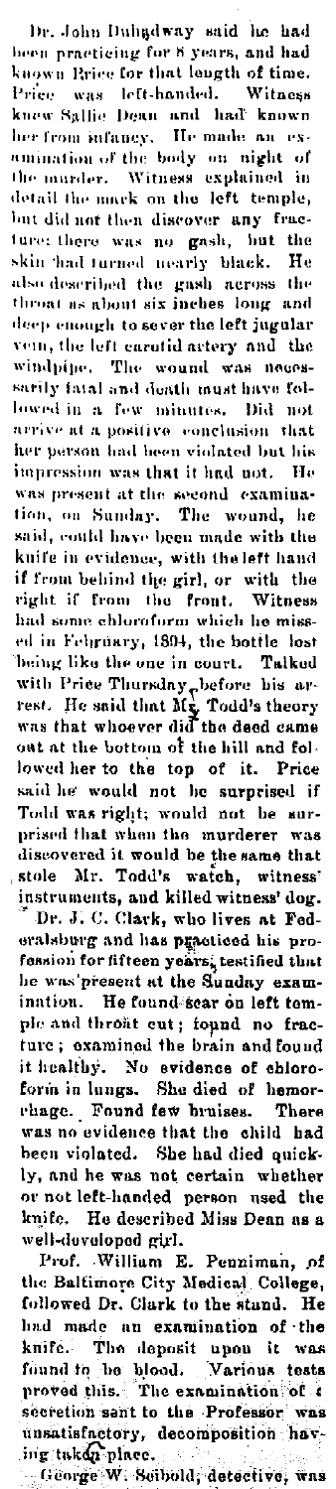Dr. John Duhadway said he had been practicing for 8 years, and had<br>known Rrice for that length of time. Price was left-handed. Witness knew Sallie Dean and had known her from infancy. He made an examination of the body on night of comment of the body on little of<br>the murder. Witness explained in<br>detail the murk on the left temple, but did not then discover any fracture there was no gash, but the skin had turned nearly black. He also described the gash across the throat as about six inches long and deep enough to sever the left jugular vein, the left carntid artery and the windpine. The wound was necessarily fatal and death must have followed in a few minutes. Did not arrive at a positive conclusion that her person had been violated but his impression was that it had not. He was present at the second examination, on Sunday. The wound, he said, could have been made with the knife in evidence, with the left hand if from behind the girl, or with the<br>right if from the front. Witness had some chloroform which he missed in Fehruary, 1894, the bottle lost being like the one in court. Talked with Price Thursday plefore his arrest. He said that Mr. Todd's theory<br>rest. He said that Mr. Todd's theory<br>was that whoever did the deed came out at the bottom of the hill and followed her to the top of it. Price said he would not be surprised if Todd was right; would not be surprised that when the murderer was discovered it would be the same that stole Mr. Todd's watch, witness' instruments, and killed witness' dog.

Dr. J. C. Clark, who lives at Federalsburg and has practiced his profession for fifteen years, testified that he was present at the Sunday examination. He found sear on left temple and throat eut; found no frac-<br>ture; examined the brain and found it healthy. No evidence of chloroform in lungs. She died of hemorrhage. Found few bruises. There was no evidence that the child had been violated. She had died quickly, and he was not certain whether or not left-handed person used the knife. He described Miss Dean as a well-developed girl.

Prof. William E. Penniman, of the Baltimore City Medical College, followed Dr. Clark to the stand. He had made an examination of the knife. The deposit upon it was<br>found to be blood. Various tests<br>proved this. The examination of a secretion sant to the Professor was unsatisfactory, decomposition having taken place.

- George W. Seibold, detective, was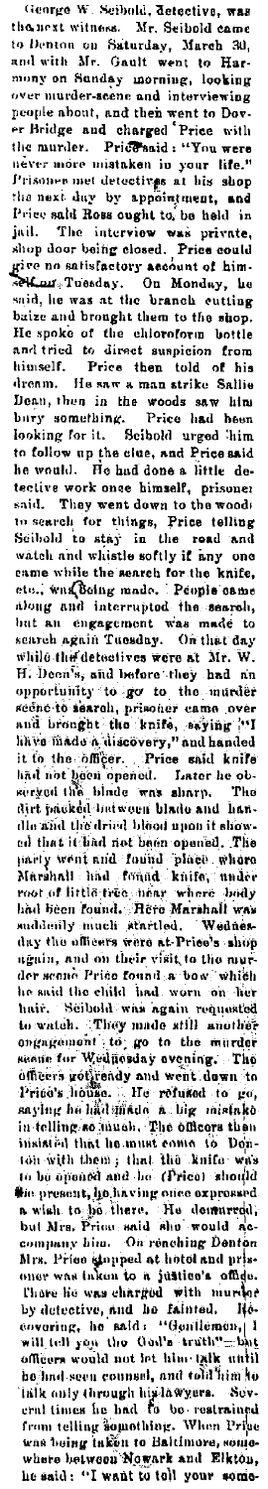George W. Seibold, detective, was George W. Scholai, detective, was<br>the next witness. Mr. Schold dame<br>to Denton on Saturday, March 30,<br>and with Mr. Gault went to Harmony on Sanday morning, looking<br>over nurder-seene and interviewing over nurder-seeme and interviewing<br>rower nurder-seeme and interviewing<br>people about, and then went to Dov-<br>er Bridge and charged Price with<br>the nurder-seeme interviewing a new term is<br>never more mistaken in your life."<br>Pri said, he was at the branch eutling<br>baix and brought them to the shop.<br>He spoke of the eluloroform bottle<br>and tried to direct suspicion from<br>himself. Price then told of his<br>dreno. He saw a man strike Salile<br>Dean, then in th to follow up the clue, and Price said<br>he would. He had done a little dehe would. He had done a little de-<br>tective work once himself, prisoner<br>said. They went down to the woodi<br>to search for things, Price telling<br>Scibold to stay in the road and<br>watch and whitethe softly if any one<br>came while t but an engagement was made to search again Tuesday. On that day search again Tuesday. On that day<br>while the detectives were at Mr. W.<br>H. Decays, and before they had an<br>opportunity to go to the multiler<br>acine to search, prisoner came over<br>and brought the knife, asying ''H<br>hive made a di dhe afid the dried blood upon it shows<br>the dried blood upon it shows<br>all that it think not been opened. The<br>party went and found place, where<br>Marshall had found knife, under<br>not of little tree, hear where body<br>had been fou he said the child had worn on her<br>hair, S60bold was again requested<br>to watch. They made sith another<br>organic interest of the material state of the material of the mater<br>same for Weidicalay and went due not due of<br>defines a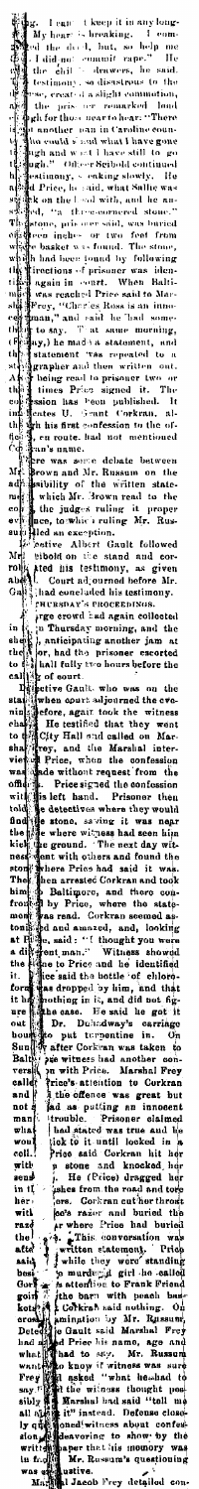g. I can: theory it in any long-<br>My hear: is breaking. I comed the deed, but, so help me<br>ed the deed, but, so help me<br>ed the difference of the caliform in the caliform of the<br>testimony, so disastrons to the<br>rese, ereated í  $\begin{bmatrix} 0 \\ 1 \\ 1 \\ 1 \end{bmatrix}$ t h 

an's name.<br>
The was some debate between<br>
How and Mr. Russum on the<br>
sability of the written state<br>
(which Mr. Brown read to the<br>
(the judges ruling Mr. Rus<br>
nee, towhich ruling Mr. Rus<br>
(the managerium)  $\overline{M}$ 

dr. Savon...<br>
ale shell Mr. 3rown rem.<br>
on Shell Mr. 3rown rem.<br>
on Shell dan exception.<br>
11 dan exception.<br>
12 cetter Albert Gall followed<br>
14 which is the stand and co-<br>
14 which is the stand and co-<br>
14 which is the sta

 $\begin{bmatrix} 1 \\ 1 \\ 0 \\ 0 \\ 0 \\ 0 \end{bmatrix}$ ⊸e<br>the<br>to  $\mathbf{r}$ 

states and concerned on test manufacturing in the concernent of the presentation of the presentation of the principal particle of the priority of and the prisoner cannot and the priority of our the priority of the priority ر<br>ita<br>it .<br>Կ nnen<br>sith<br>old d ۔<br>اگری n it, and did not fig-<br>
He said he got it<br>
unicalway's carriage<br>
utrypentine in. On<br>
trypentine in. On<br>
trypentine in. On<br>
Price. Marshal Frey<br>
trietion to Corkran<br>
the condition<br>
the condition<br>
condition<br>
the system of th g mus<br>86. H<br>Duha ur<br>ut tur<br>r Cork ان<br>Jork<br>ness<br>h Pri<br>at<br>s our resonance and the contract of the state of the selection to Corkra<br>in the particular of the selection is a putting an innocente of the selection and district of the state of the state of the state of the state of the s Corkran<br>reat but:<br>.. ıd<br>)t .ime ....<br>Mu p<br>I ïĹ Ì er)<br>ritk written statement, Provident and the word standard and the barrior of an undergal girl the old statement is a steed to be the barrior of the barrior of the barrior of the manner and the manner and the state barrior of the j<br>4 ui

detaile j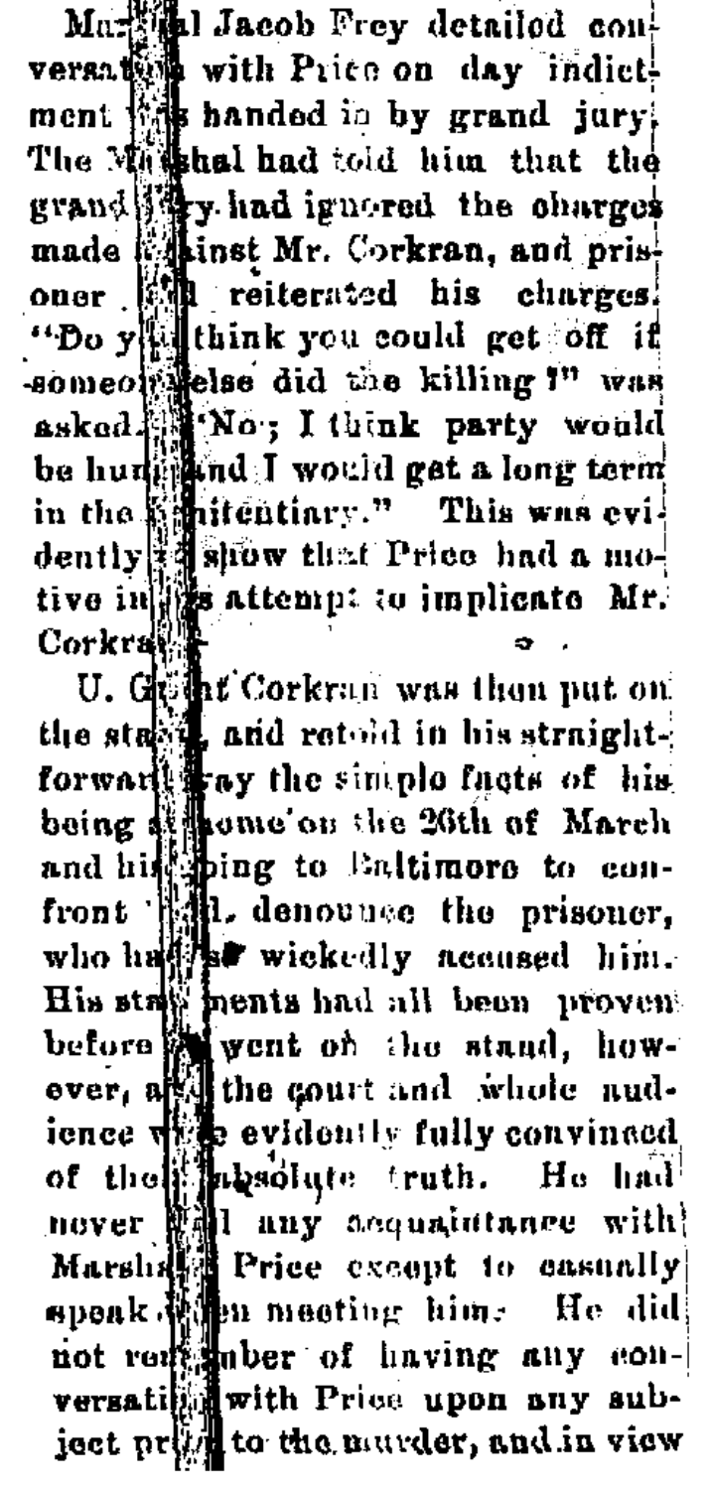Martin Jacob Frey detailed couversator with Price on day indictment was handed in by grand jury. The Mashal had told him that the grand it. had ignored the charges made whinst Mr. Corkran, and prisoner foll reiterated his charges. someon else did the killing ?" was asked Mo; I think party would be hunted ind I would get a long term in the penitentiary." This was evidently a show that Price had a mo-<br>tive in the attempt to implicate Mr. Corkraw

U. Gone Corkran was then put on<br>the stable and retold in his straightforward ay the simple facts of his being at home on the 20th of March and his bing to Enltimore to confront all, denounce the prisoner, who has a wickedly neaused him. His stay heats had all been proven before went on the stand, howover, and the court and whole nud-<br>ience we widently fully convinced of the pressiate truth. He had nover will any acquaintance with Marshall Price except to casually speak when meeting him. He did not remainber of having any conversation with Price upon any subject print to the nurder, and in view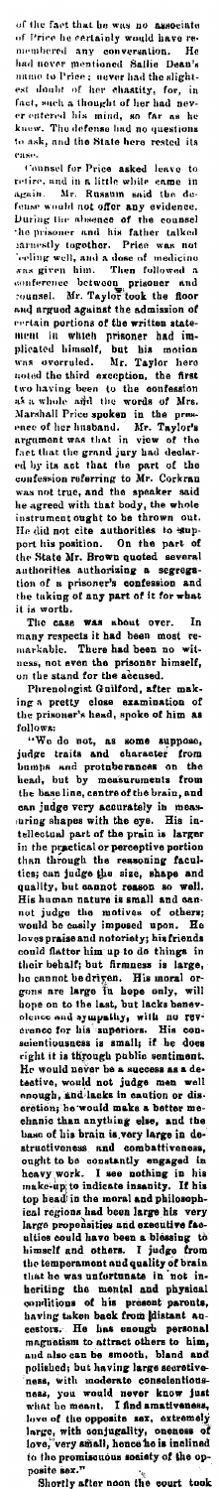of the fact that he was no associate<br>of Price he certainly would have re-<br>membered any conversation. He<br>had never memtioned Sallie Dean's<br>name to Price : user had the alight-<br>est doubt of her chattify, for, in<br>fact, such a

er catered its mind, so far as he<br>knew. The defense had no questions<br>to ask, and the State here rested its<br>case.<br>to ask, and the State here rested its<br>case.<br>retire, and in a little while enme in<br>again. Mr. Russam said the

It is worth.<br>The case was about over. In<br>many respects it had been most re-<br>markable. There had been no wit-<br>ness, not even the prisoner himself,<br>on the stand for the accused.

Phrenologist Guilford, after making a pretty close examination of<br>the prisoner's head, spoke of him as

the prisoner's head, spoke of him as<br>
follows:<br>
"We do not, as some suppose,<br>
investigated and character from<br>
investigated and character from<br>
head, but by measurements from<br>
the basel inter, and contracter from<br>
the base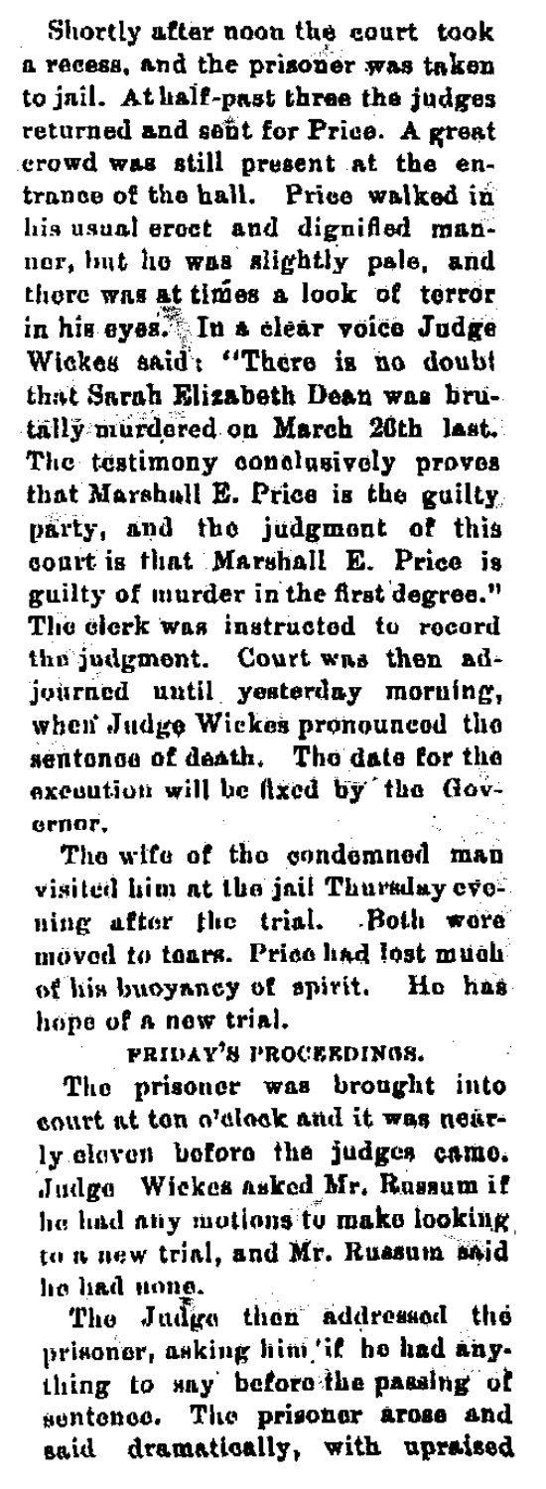Shortly after noon the court took a recess, and the prisoner was taken to inil. At half-past three the judges returned and sent for Price. A great erowd was still present at the entrance of the hall. Price walked in his usual erect and dignified manner, but he was slightly pale, and there was at times a look of terror in his eyes. In a clear voice Judge<br>Wickes said: "There is no doubt that Sarah Elizahath Dean was hinitälly murdered on March 26th last. The testimony conclusively proves that Marshall E. Price is the guilty party, and the judgment of this court is that Marshall E. Price is guilty of murder in the first degree." The elerk was instructed to record the judgment. Court was then adjourned until yesterday morning, when Judge Wickes pronounced the sentonce of death. The date for the excention will be fixed by the Gov- $\ddot{\mathbf{a}}$ 

The wife of the condemned man visited him at the jail Thursday evening after the trial. Both wore moved to tears. Price had lost much of his buoyancy of spirit. He has hone of a new trial.

FRIDAY'S PROCEEDINGS.

The prisoner was brought into court at ton o'clock and it was nearly eleven before the judges came. Judge Wickes asked Mr. Russum if he had any motions to make looking to a new trial, and Mr. Russum said he had none.

me uses mone,<br>The Judge then addressed the<br>prisoner, asking him'if he had any-<br>thing to say before the passing of<br>sentence. The prisoner arose and said dramatically, with unraised